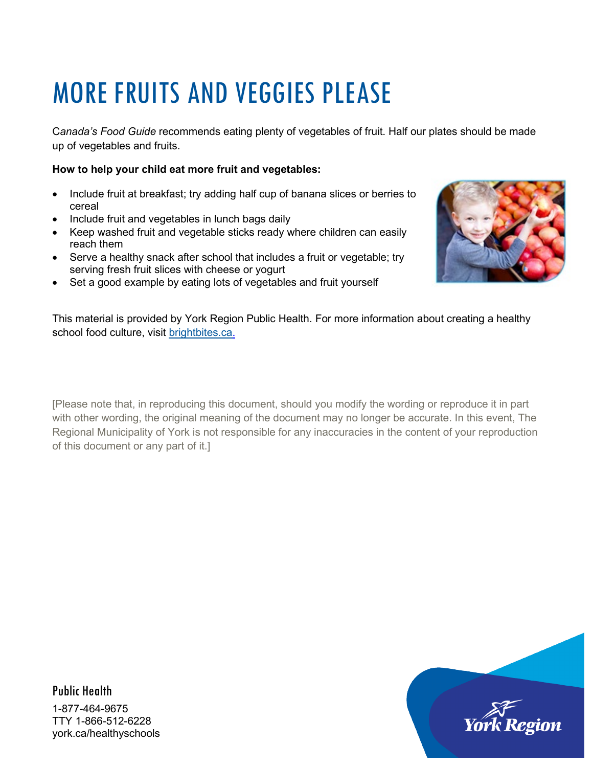# MORE FRUITS AND VEGGIES PLEASE

C*anada's Food Guide* recommends eating plenty of vegetables of fruit. Half our plates should be made up of vegetables and fruits.

#### **How to help your child eat more fruit and vegetables:**

- Include fruit at breakfast; try adding half cup of banana slices or berries to cereal
- Include fruit and vegetables in lunch bags daily
- Keep washed fruit and vegetable sticks ready where children can easily reach them
- Serve a healthy snack after school that includes a fruit or vegetable; try serving fresh fruit slices with cheese or yogurt
- Set a good example by eating lots of vegetables and fruit yourself

This material is provided by York Region Public Health. For more information about creating a healthy school food culture, visit [brightbites.ca.](http://www.brightbites.ca/)

[Please note that, in reproducing this document, should you modify the wording or reproduce it in part with other wording, the original meaning of the document may no longer be accurate. In this event, The Regional Municipality of York is not responsible for any inaccuracies in the content of your reproduction of this document or any part of it.]





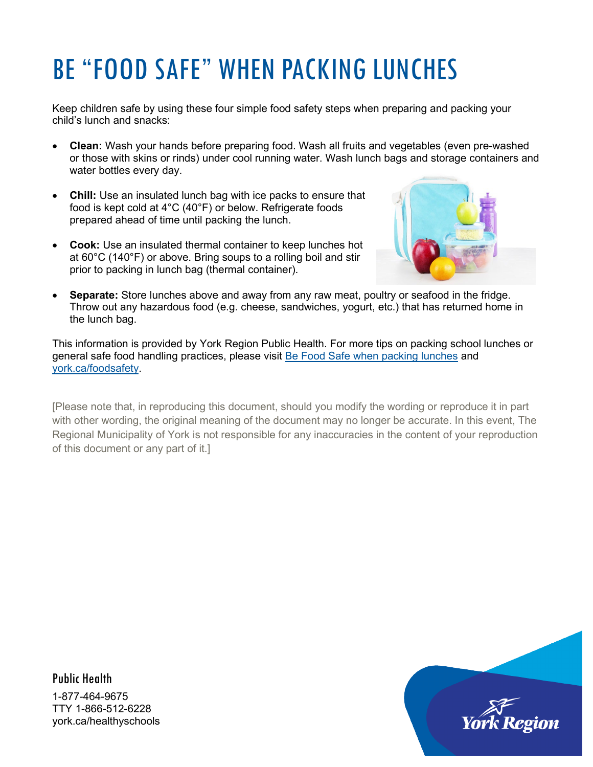## BE "FOOD SAFE" WHEN PACKING LUNCHES

Keep children safe by using these four simple food safety steps when preparing and packing your child's lunch and snacks:

- **Clean:** Wash your hands before preparing food. Wash all fruits and vegetables (even pre-washed or those with skins or rinds) under cool running water. Wash lunch bags and storage containers and water bottles every day.
- **Chill:** Use an insulated lunch bag with ice packs to ensure that food is kept cold at 4°C (40°F) or below. Refrigerate foods prepared ahead of time until packing the lunch.
- **Cook:** Use an insulated thermal container to keep lunches hot at 60°C (140°F) or above. Bring soups to a rolling boil and stir prior to packing in lunch bag (thermal container).



• **Separate:** Store lunches above and away from any raw meat, poultry or seafood in the fridge. Throw out any hazardous food (e.g. cheese, sandwiches, yogurt, etc.) that has returned home in the lunch bag.

This information is provided by York Region Public Health. For more tips on packing school lunches or general safe food handling practices, please visit [Be Food Safe when packing lunches](http://www.york.ca/wps/wcm/connect/yorkpublic/9202473e-68b7-4657-a1a6-5b3c0351ebac/Food+Safety+Fact+Sheet+-+Packing+Lunches.pdf?MOD=AJPERES&CACHEID=9202473e-68b7-4657-a1a6-5b3c0351ebac) and [york.ca/foodsafety.](http://www.york.ca/foodsafety)

[Please note that, in reproducing this document, should you modify the wording or reproduce it in part with other wording, the original meaning of the document may no longer be accurate. In this event, The Regional Municipality of York is not responsible for any inaccuracies in the content of your reproduction of this document or any part of it.]

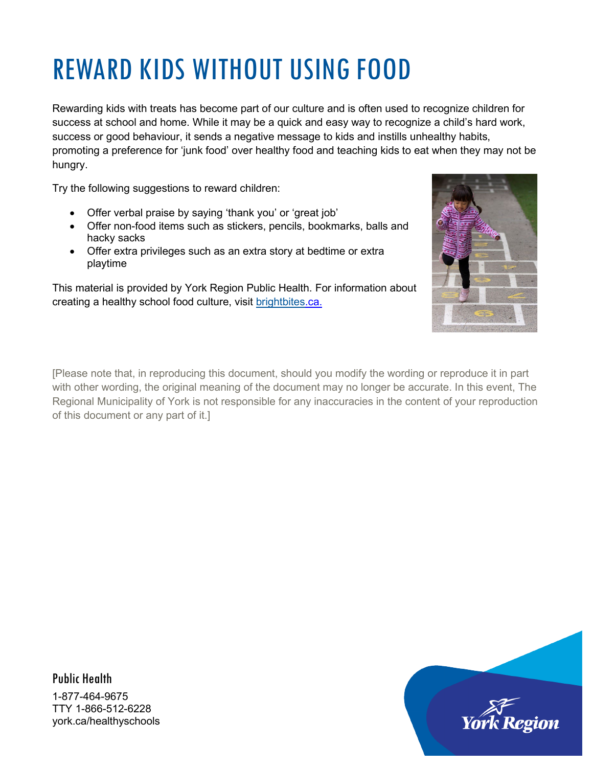## REWARD KIDS WITHOUT USING FOOD

Rewarding kids with treats has become part of our culture and is often used to recognize children for success at school and home. While it may be a quick and easy way to recognize a child's hard work, success or good behaviour, it sends a negative message to kids and instills unhealthy habits, promoting a preference for 'junk food' over healthy food and teaching kids to eat when they may not be hungry.

Try the following suggestions to reward children:

- Offer verbal praise by saying 'thank you' or 'great job'
- Offer non-food items such as stickers, pencils, bookmarks, balls and hacky sacks
- Offer extra privileges such as an extra story at bedtime or extra playtime

This material is provided by York Region Public Health. For information about creating a healthy school food culture, visit [brightbites.](http://www.brightbites.ca/)ca.



[Please note that, in reproducing this document, should you modify the wording or reproduce it in part with other wording, the original meaning of the document may no longer be accurate. In this event, The Regional Municipality of York is not responsible for any inaccuracies in the content of your reproduction of this document or any part of it.]

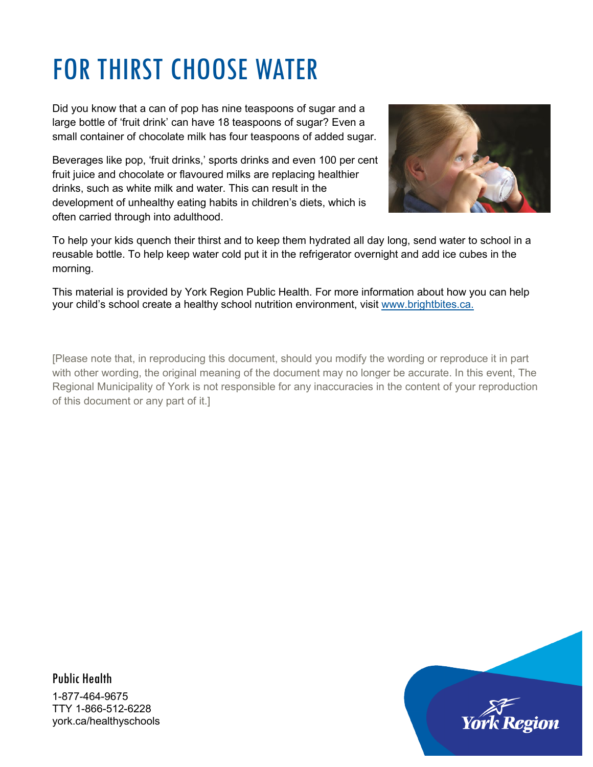## FOR THIRST CHOOSE WATER

Did you know that a can of pop has nine teaspoons of sugar and a large bottle of 'fruit drink' can have 18 teaspoons of sugar? Even a small container of chocolate milk has four teaspoons of added sugar.

Beverages like pop, 'fruit drinks,' sports drinks and even 100 per cent fruit juice and chocolate or flavoured milks are replacing healthier drinks, such as white milk and water. This can result in the development of unhealthy eating habits in children's diets, which is often carried through into adulthood.



To help your kids quench their thirst and to keep them hydrated all day long, send water to school in a reusable bottle. To help keep water cold put it in the refrigerator overnight and add ice cubes in the morning.

This material is provided by York Region Public Health. For more information about how you can help your child's school create a healthy school nutrition environment, visit [www.brightbites.ca.](http://www.brightbites.ca/)

[Please note that, in reproducing this document, should you modify the wording or reproduce it in part with other wording, the original meaning of the document may no longer be accurate. In this event, The Regional Municipality of York is not responsible for any inaccuracies in the content of your reproduction of this document or any part of it.]

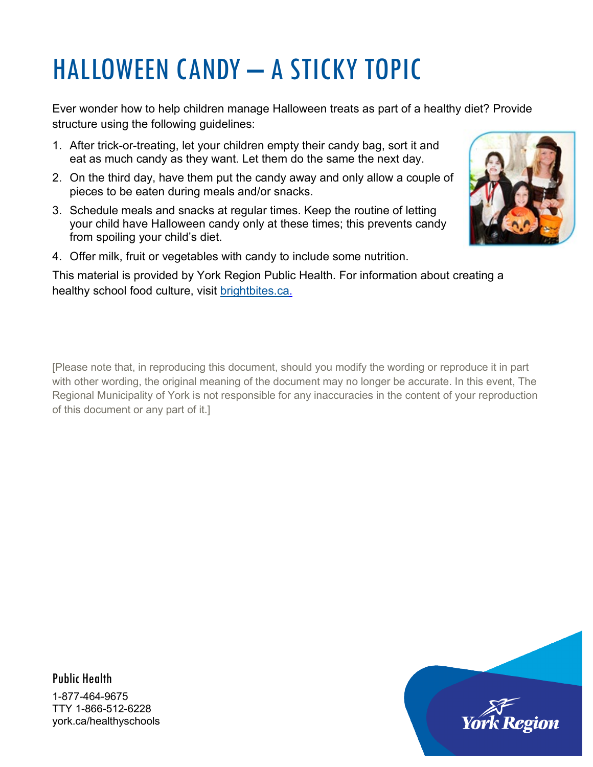# HALLOWEEN CANDY – A STICKY TOPIC

Ever wonder how to help children manage Halloween treats as part of a healthy diet? Provide structure using the following guidelines:

- 1. After trick-or-treating, let your children empty their candy bag, sort it and eat as much candy as they want. Let them do the same the next day.
- 2. On the third day, have them put the candy away and only allow a couple of pieces to be eaten during meals and/or snacks.
- 3. Schedule meals and snacks at regular times. Keep the routine of letting your child have Halloween candy only at these times; this prevents candy from spoiling your child's diet.



4. Offer milk, fruit or vegetables with candy to include some nutrition.

This material is provided by York Region Public Health. For information about creating a healthy school food culture, visit [brightbites.ca.](http://www.nutritiontoolsforschools.ca/)

[Please note that, in reproducing this document, should you modify the wording or reproduce it in part with other wording, the original meaning of the document may no longer be accurate. In this event, The Regional Municipality of York is not responsible for any inaccuracies in the content of your reproduction of this document or any part of it.]

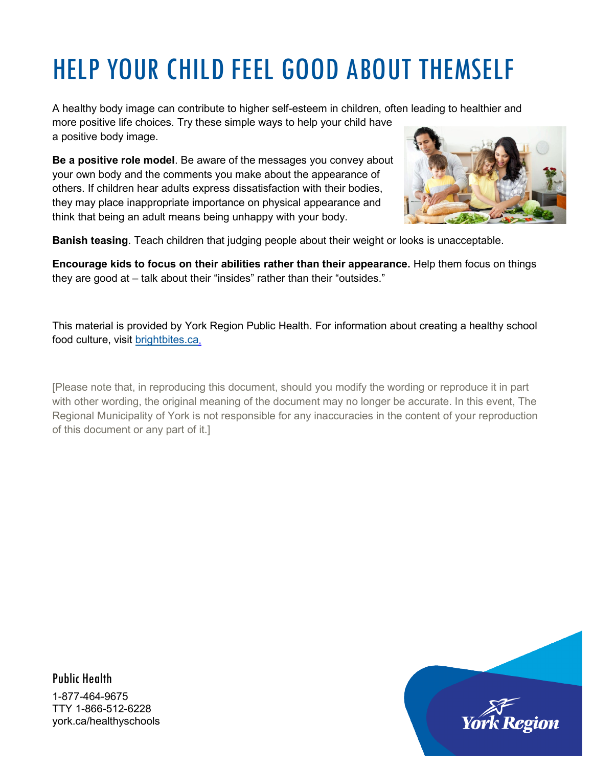# HELP YOUR CHILD FEEL GOOD ABOUT THEMSELF

A healthy body image can contribute to higher self-esteem in children, often leading to healthier and more positive life choices. Try these simple ways to help your child have a positive body image.

**Be a positive role model**. Be aware of the messages you convey about your own body and the comments you make about the appearance of others. If children hear adults express dissatisfaction with their bodies, they may place inappropriate importance on physical appearance and think that being an adult means being unhappy with your body.



**Banish teasing**. Teach children that judging people about their weight or looks is unacceptable.

**Encourage kids to focus on their abilities rather than their appearance.** Help them focus on things they are good at – talk about their "insides" rather than their "outsides."

This material is provided by York Region Public Health. For information about creating a healthy school food culture, visit [brightbites.ca.](http://www.brightbites.ca/)

[Please note that, in reproducing this document, should you modify the wording or reproduce it in part with other wording, the original meaning of the document may no longer be accurate. In this event, The Regional Municipality of York is not responsible for any inaccuracies in the content of your reproduction of this document or any part of it.]

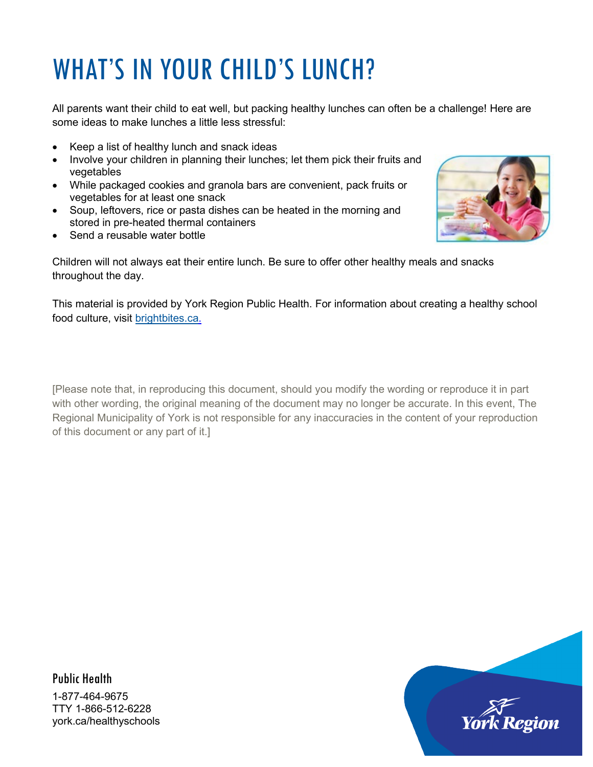# WHAT'S IN YOUR CHILD'S LUNCH?

All parents want their child to eat well, but packing healthy lunches can often be a challenge! Here are some ideas to make lunches a little less stressful:

- Keep a list of healthy lunch and snack ideas
- Involve your children in planning their lunches; let them pick their fruits and vegetables
- While packaged cookies and granola bars are convenient, pack fruits or vegetables for at least one snack
- Soup, leftovers, rice or pasta dishes can be heated in the morning and stored in pre-heated thermal containers
- Send a reusable water bottle



Children will not always eat their entire lunch. Be sure to offer other healthy meals and snacks throughout the day.

This material is provided by York Region Public Health. For information about creating a healthy school food culture, visit [brightbites.ca.](http://www.brightbites.ca/)

[Please note that, in reproducing this document, should you modify the wording or reproduce it in part with other wording, the original meaning of the document may no longer be accurate. In this event, The Regional Municipality of York is not responsible for any inaccuracies in the content of your reproduction of this document or any part of it.]



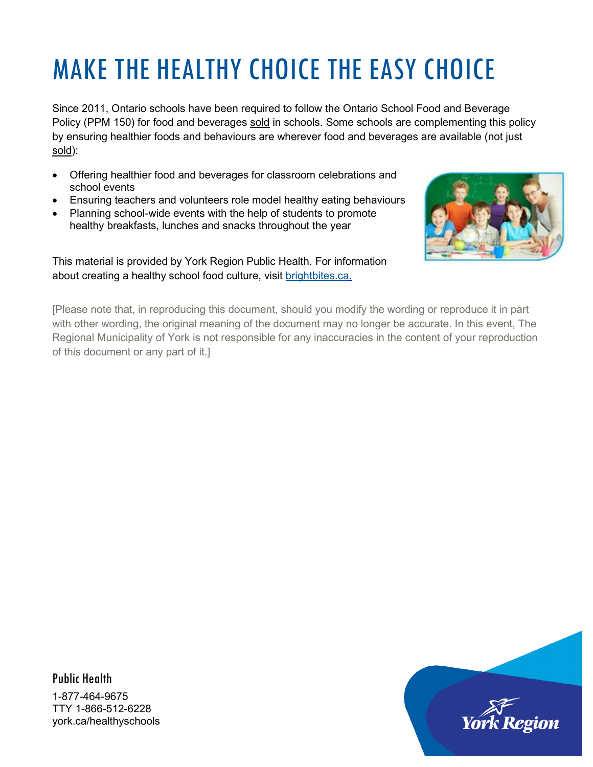# MAKE THE HEALTHY CHOICE THE EASY CHOICE

Since 2011, Ontario schools have been required to follow the Ontario School Food and Beverage Policy (PPM 150) for food and beverages sold in schools. Some schools are complementing this policy by ensuring healthier foods and behaviours are wherever food and beverages are available (not just sold):

- Offering healthier food and beverages for classroom celebrations and school events
- Ensuring teachers and volunteers role model healthy eating behaviours
- Planning school-wide events with the help of students to promote healthy breakfasts, lunches and snacks throughout the year

This material is provided by York Region Public Health. For information about creating a healthy school food culture, visit [brightbites.ca.](http://www.brightbites.ca/)



[Please note that, in reproducing this document, should you modify the wording or reproduce it in part with other wording, the original meaning of the document may no longer be accurate. In this event, The Regional Municipality of York is not responsible for any inaccuracies in the content of your reproduction of this document or any part of it.]

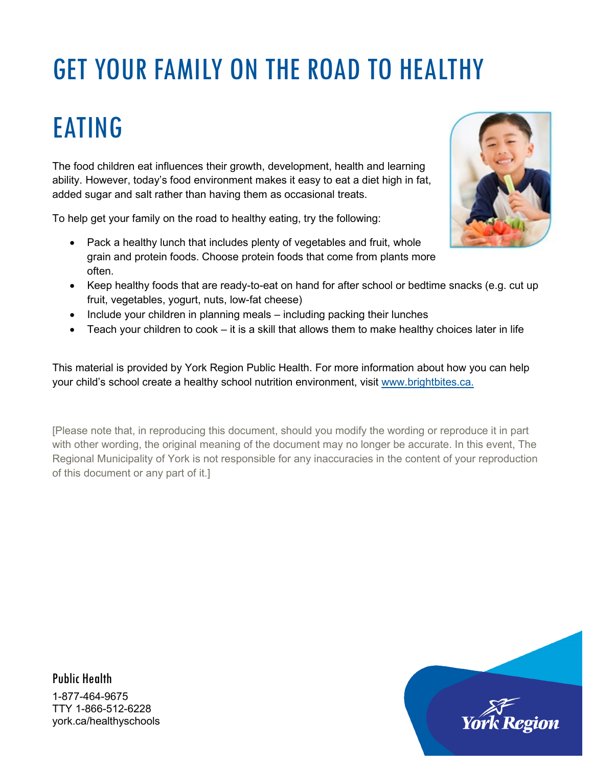# GET YOUR FAMILY ON THE ROAD TO HEALTHY

## EATING

The food children eat influences their growth, development, health and learning ability. However, today's food environment makes it easy to eat a diet high in fat, added sugar and salt rather than having them as occasional treats.

To help get your family on the road to healthy eating, try the following:

- Pack a healthy lunch that includes plenty of vegetables and fruit, whole grain and protein foods. Choose protein foods that come from plants more often.
- Keep healthy foods that are ready-to-eat on hand for after school or bedtime snacks (e.g. cut up fruit, vegetables, yogurt, nuts, low-fat cheese)
- Include your children in planning meals including packing their lunches
- Teach your children to cook it is a skill that allows them to make healthy choices later in life

This material is provided by York Region Public Health. For more information about how you can help your child's school create a healthy school nutrition environment, visit [www.brightbites.ca.](http://www.brightbites.ca/)

[Please note that, in reproducing this document, should you modify the wording or reproduce it in part with other wording, the original meaning of the document may no longer be accurate. In this event, The Regional Municipality of York is not responsible for any inaccuracies in the content of your reproduction of this document or any part of it.]



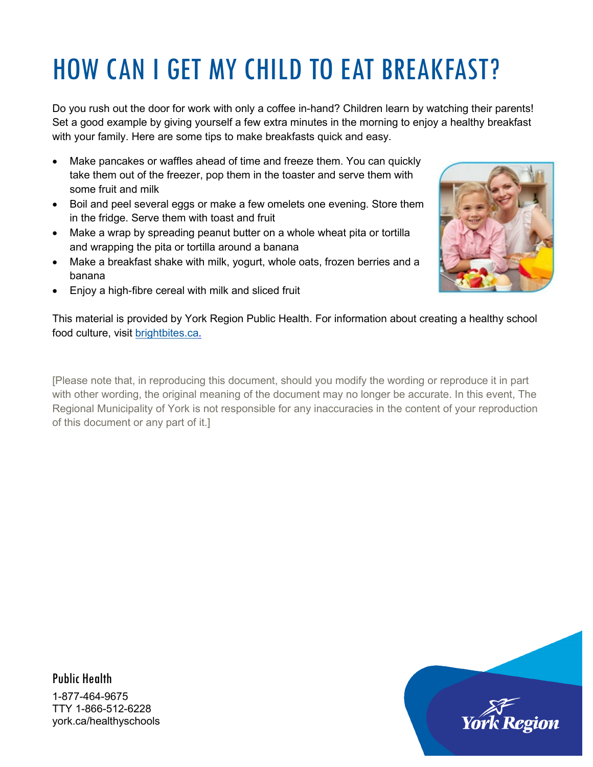# HOW CAN I GET MY CHILD TO EAT BREAKFAST?

Do you rush out the door for work with only a coffee in-hand? Children learn by watching their parents! Set a good example by giving yourself a few extra minutes in the morning to enjoy a healthy breakfast with your family. Here are some tips to make breakfasts quick and easy.

- Make pancakes or waffles ahead of time and freeze them. You can quickly take them out of the freezer, pop them in the toaster and serve them with some fruit and milk
- Boil and peel several eggs or make a few omelets one evening. Store them in the fridge. Serve them with toast and fruit
- Make a wrap by spreading peanut butter on a whole wheat pita or tortilla and wrapping the pita or tortilla around a banana
- Make a breakfast shake with milk, yogurt, whole oats, frozen berries and a banana



• Enjoy a high-fibre cereal with milk and sliced fruit

This material is provided by York Region Public Health. For information about creating a healthy school food culture, visit [brightbites.ca.](http://www.brightbites.ca/)

[Please note that, in reproducing this document, should you modify the wording or reproduce it in part with other wording, the original meaning of the document may no longer be accurate. In this event, The Regional Municipality of York is not responsible for any inaccuracies in the content of your reproduction of this document or any part of it.]

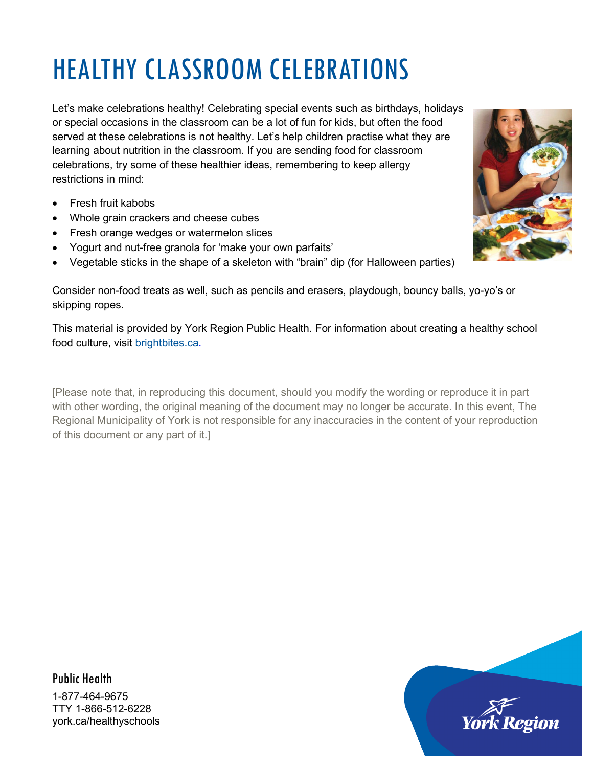# HEALTHY CLASSROOM CELEBRATIONS

Let's make celebrations healthy! Celebrating special events such as birthdays, holidays or special occasions in the classroom can be a lot of fun for kids, but often the food served at these celebrations is not healthy. Let's help children practise what they are learning about nutrition in the classroom. If you are sending food for classroom celebrations, try some of these healthier ideas, remembering to keep allergy restrictions in mind:

- Fresh fruit kabobs
- Whole grain crackers and cheese cubes
- Fresh orange wedges or watermelon slices
- Yogurt and nut-free granola for 'make your own parfaits'
- Vegetable sticks in the shape of a skeleton with "brain" dip (for Halloween parties)

Consider non-food treats as well, such as pencils and erasers, playdough, bouncy balls, yo-yo's or skipping ropes.

This material is provided by York Region Public Health. For information about creating a healthy school food culture, visit [brightbites.ca.](http://www.brightbites.ca/)

[Please note that, in reproducing this document, should you modify the wording or reproduce it in part with other wording, the original meaning of the document may no longer be accurate. In this event, The Regional Municipality of York is not responsible for any inaccuracies in the content of your reproduction of this document or any part of it.]



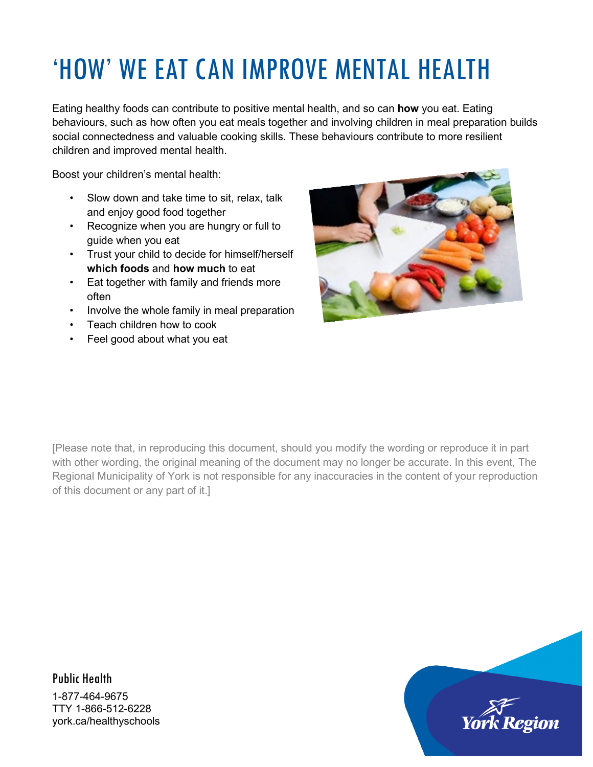## 'HOW' WE EAT CAN IMPROVE MENTAL HEALTH

Eating healthy foods can contribute to positive mental health, and so can **how** you eat. Eating behaviours, such as how often you eat meals together and involving children in meal preparation builds social connectedness and valuable cooking skills. These behaviours contribute to more resilient children and improved mental health.

Boost your children's mental health:

- Slow down and take time to sit, relax, talk and enjoy good food together
- Recognize when you are hungry or full to guide when you eat
- Trust your child to decide for himself/herself **which foods** and **how much** to eat
- Eat together with family and friends more often
- Involve the whole family in meal preparation
- Teach children how to cook
- Feel good about what you eat



[Please note that, in reproducing this document, should you modify the wording or reproduce it in part with other wording, the original meaning of the document may no longer be accurate. In this event, The Regional Municipality of York is not responsible for any inaccuracies in the content of your reproduction of this document or any part of it.]

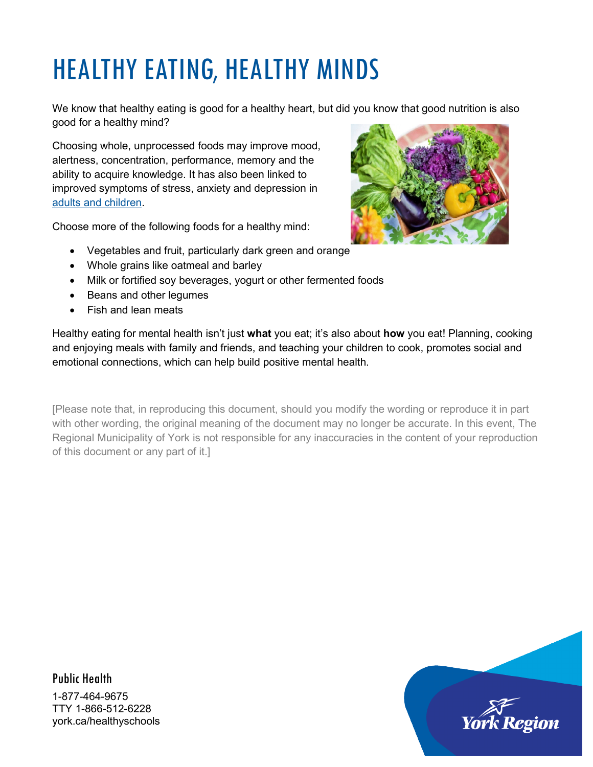## HEALTHY EATING, HEALTHY MINDS

We know that healthy eating is good for a healthy heart, but did you know that good nutrition is also good for a healthy mind?

Choosing whole, unprocessed foods may improve mood, alertness, concentration, performance, memory and the ability to acquire knowledge. It has also been linked to improved symptoms of stress, anxiety and depression in [adults and children.](https://www.ncbi.nlm.nih.gov/pmc/articles/PMC4167107/)

Choose more of the following foods for a healthy mind:



- Vegetables and fruit, particularly dark green and orange
- Whole grains like oatmeal and barley
- Milk or fortified soy beverages, yogurt or other fermented foods
- Beans and other legumes
- Fish and lean meats

Healthy eating for mental health isn't just **what** you eat; it's also about **how** you eat! Planning, cooking and enjoying meals with family and friends, and teaching your children to cook, promotes social and emotional connections, which can help build positive mental health.

[Please note that, in reproducing this document, should you modify the wording or reproduce it in part with other wording, the original meaning of the document may no longer be accurate. In this event, The Regional Municipality of York is not responsible for any inaccuracies in the content of your reproduction of this document or any part of it.]